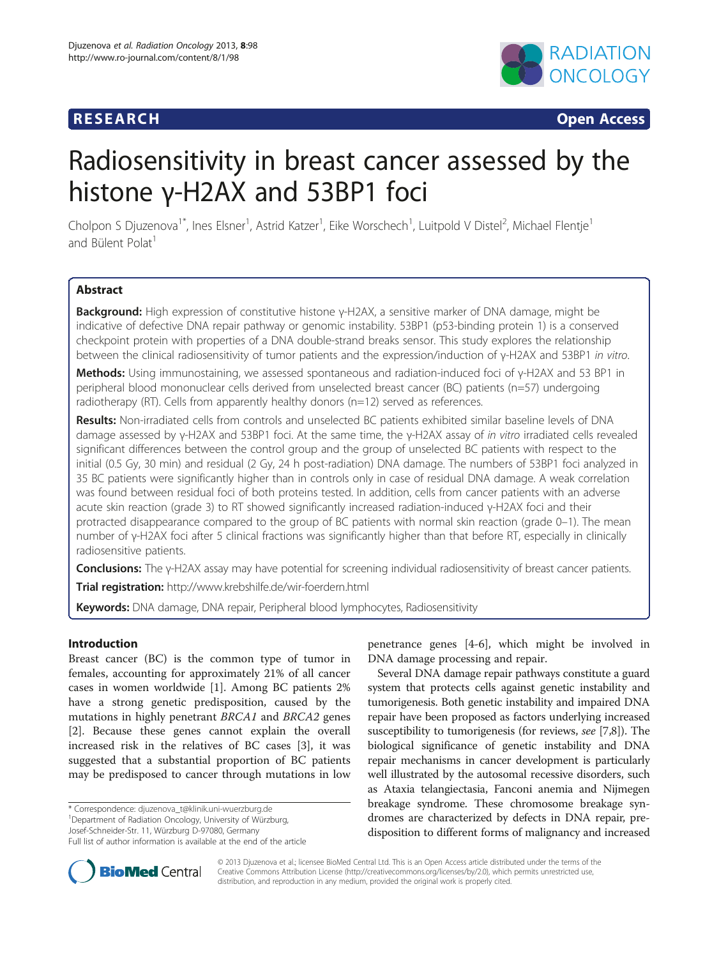# **RESEARCH RESEARCH** *CONSIDERING*



# Radiosensitivity in breast cancer assessed by the histone γ-H2AX and 53BP1 foci

Cholpon S Djuzenova<sup>1\*</sup>, Ines Elsner<sup>1</sup>, Astrid Katzer<sup>1</sup>, Eike Worschech<sup>1</sup>, Luitpold V Distel<sup>2</sup>, Michael Flentje<sup>1</sup> and Bülent Polat<sup>1</sup>

# **Abstract**

Background: High expression of constitutive histone γ-H2AX, a sensitive marker of DNA damage, might be indicative of defective DNA repair pathway or genomic instability. 53BP1 (p53-binding protein 1) is a conserved checkpoint protein with properties of a DNA double-strand breaks sensor. This study explores the relationship between the clinical radiosensitivity of tumor patients and the expression/induction of γ-H2AX and 53BP1 in vitro.

Methods: Using immunostaining, we assessed spontaneous and radiation-induced foci of γ-H2AX and 53 BP1 in peripheral blood mononuclear cells derived from unselected breast cancer (BC) patients (n=57) undergoing radiotherapy (RT). Cells from apparently healthy donors (n=12) served as references.

Results: Non-irradiated cells from controls and unselected BC patients exhibited similar baseline levels of DNA damage assessed by γ-H2AX and 53BP1 foci. At the same time, the γ-H2AX assay of in vitro irradiated cells revealed significant differences between the control group and the group of unselected BC patients with respect to the initial (0.5 Gy, 30 min) and residual (2 Gy, 24 h post-radiation) DNA damage. The numbers of 53BP1 foci analyzed in 35 BC patients were significantly higher than in controls only in case of residual DNA damage. A weak correlation was found between residual foci of both proteins tested. In addition, cells from cancer patients with an adverse acute skin reaction (grade 3) to RT showed significantly increased radiation-induced γ-H2AX foci and their protracted disappearance compared to the group of BC patients with normal skin reaction (grade 0–1). The mean number of γ-H2AX foci after 5 clinical fractions was significantly higher than that before RT, especially in clinically radiosensitive patients.

Conclusions: The γ-H2AX assay may have potential for screening individual radiosensitivity of breast cancer patients.

Trial registration: <http://www.krebshilfe.de/wir-foerdern.html>

Keywords: DNA damage, DNA repair, Peripheral blood lymphocytes, Radiosensitivity

# Introduction

Breast cancer (BC) is the common type of tumor in females, accounting for approximately 21% of all cancer cases in women worldwide [\[1](#page-11-0)]. Among BC patients 2% have a strong genetic predisposition, caused by the mutations in highly penetrant BRCA1 and BRCA2 genes [[2\]](#page-11-0). Because these genes cannot explain the overall increased risk in the relatives of BC cases [\[3](#page-11-0)], it was suggested that a substantial proportion of BC patients may be predisposed to cancer through mutations in low

\* Correspondence: [djuzenova\\_t@klinik.uni-wuerzburg.de](mailto:djuzenova_t@klinik.uni-wuerzburg.de) <sup>1</sup>

<sup>1</sup>Department of Radiation Oncology, University of Würzburg,

Josef-Schneider-Str. 11, Würzburg D-97080, Germany

penetrance genes [\[4](#page-11-0)-[6\]](#page-11-0), which might be involved in DNA damage processing and repair.

Several DNA damage repair pathways constitute a guard system that protects cells against genetic instability and tumorigenesis. Both genetic instability and impaired DNA repair have been proposed as factors underlying increased susceptibility to tumorigenesis (for reviews, see [[7,8](#page-11-0)]). The biological significance of genetic instability and DNA repair mechanisms in cancer development is particularly well illustrated by the autosomal recessive disorders, such as Ataxia telangiectasia, Fanconi anemia and Nijmegen breakage syndrome. These chromosome breakage syndromes are characterized by defects in DNA repair, predisposition to different forms of malignancy and increased



© 2013 Djuzenova et al.; licensee BioMed Central Ltd. This is an Open Access article distributed under the terms of the Creative Commons Attribution License (<http://creativecommons.org/licenses/by/2.0>), which permits unrestricted use, distribution, and reproduction in any medium, provided the original work is properly cited.

Full list of author information is available at the end of the article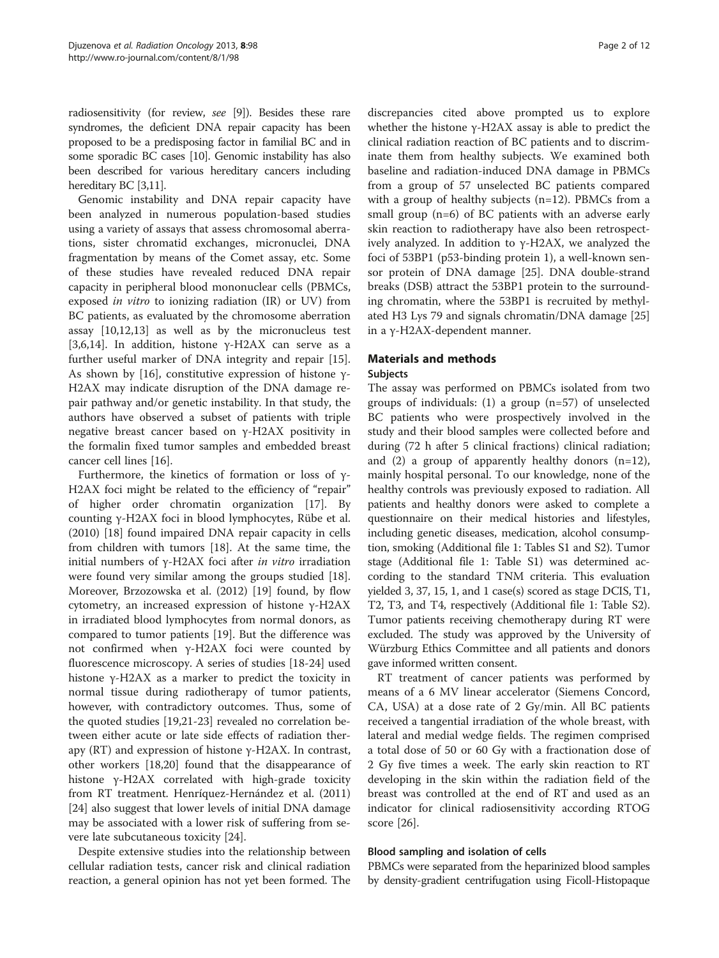radiosensitivity (for review, see [\[9\]](#page-11-0)). Besides these rare syndromes, the deficient DNA repair capacity has been proposed to be a predisposing factor in familial BC and in some sporadic BC cases [\[10](#page-11-0)]. Genomic instability has also been described for various hereditary cancers including hereditary BC [[3,11\]](#page-11-0).

Genomic instability and DNA repair capacity have been analyzed in numerous population-based studies using a variety of assays that assess chromosomal aberrations, sister chromatid exchanges, micronuclei, DNA fragmentation by means of the Comet assay, etc. Some of these studies have revealed reduced DNA repair capacity in peripheral blood mononuclear cells (PBMCs, exposed in vitro to ionizing radiation (IR) or UV) from BC patients, as evaluated by the chromosome aberration assay [[10,12,13](#page-11-0)] as well as by the micronucleus test [[3,6,14\]](#page-11-0). In addition, histone γ-H2AX can serve as a further useful marker of DNA integrity and repair [\[15](#page-11-0)]. As shown by [[16](#page-11-0)], constitutive expression of histone  $\gamma$ -H2AX may indicate disruption of the DNA damage repair pathway and/or genetic instability. In that study, the authors have observed a subset of patients with triple negative breast cancer based on γ-H2AX positivity in the formalin fixed tumor samples and embedded breast cancer cell lines [\[16\]](#page-11-0).

Furthermore, the kinetics of formation or loss of γ-H2AX foci might be related to the efficiency of "repair" of higher order chromatin organization [[17\]](#page-11-0). By counting γ-H2AX foci in blood lymphocytes, Rübe et al. (2010) [\[18](#page-11-0)] found impaired DNA repair capacity in cells from children with tumors [\[18](#page-11-0)]. At the same time, the initial numbers of γ-H2AX foci after in vitro irradiation were found very similar among the groups studied [\[18](#page-11-0)]. Moreover, Brzozowska et al. (2012) [\[19](#page-11-0)] found, by flow cytometry, an increased expression of histone γ-H2AX in irradiated blood lymphocytes from normal donors, as compared to tumor patients [[19](#page-11-0)]. But the difference was not confirmed when γ-H2AX foci were counted by fluorescence microscopy. A series of studies [[18](#page-11-0)-[24\]](#page-11-0) used histone γ-H2AX as a marker to predict the toxicity in normal tissue during radiotherapy of tumor patients, however, with contradictory outcomes. Thus, some of the quoted studies [\[19,21](#page-11-0)-[23\]](#page-11-0) revealed no correlation between either acute or late side effects of radiation therapy (RT) and expression of histone  $γ$ -H2AX. In contrast, other workers [\[18,20](#page-11-0)] found that the disappearance of histone γ-H2AX correlated with high-grade toxicity from RT treatment. Henríquez-Hernández et al. (2011) [[24\]](#page-11-0) also suggest that lower levels of initial DNA damage may be associated with a lower risk of suffering from severe late subcutaneous toxicity [[24\]](#page-11-0).

Despite extensive studies into the relationship between cellular radiation tests, cancer risk and clinical radiation reaction, a general opinion has not yet been formed. The

discrepancies cited above prompted us to explore whether the histone  $γ$ -H2AX assay is able to predict the clinical radiation reaction of BC patients and to discriminate them from healthy subjects. We examined both baseline and radiation-induced DNA damage in PBMCs from a group of 57 unselected BC patients compared with a group of healthy subjects (n=12). PBMCs from a small group (n=6) of BC patients with an adverse early skin reaction to radiotherapy have also been retrospectively analyzed. In addition to γ-H2AX, we analyzed the foci of 53BP1 (p53-binding protein 1), a well-known sensor protein of DNA damage [\[25\]](#page-11-0). DNA double-strand breaks (DSB) attract the 53BP1 protein to the surrounding chromatin, where the 53BP1 is recruited by methylated H3 Lys 79 and signals chromatin/DNA damage [[25](#page-11-0)] in a γ-H2AX-dependent manner.

# Materials and methods

# Subjects

The assay was performed on PBMCs isolated from two groups of individuals: (1) a group (n=57) of unselected BC patients who were prospectively involved in the study and their blood samples were collected before and during (72 h after 5 clinical fractions) clinical radiation; and (2) a group of apparently healthy donors (n=12), mainly hospital personal. To our knowledge, none of the healthy controls was previously exposed to radiation. All patients and healthy donors were asked to complete a questionnaire on their medical histories and lifestyles, including genetic diseases, medication, alcohol consumption, smoking (Additional file [1:](#page-10-0) Tables S1 and S2). Tumor stage (Additional file [1:](#page-10-0) Table S1) was determined according to the standard TNM criteria. This evaluation yielded 3, 37, 15, 1, and 1 case(s) scored as stage DCIS, T1, T2, T3, and T4, respectively (Additional file [1:](#page-10-0) Table S2). Tumor patients receiving chemotherapy during RT were excluded. The study was approved by the University of Würzburg Ethics Committee and all patients and donors gave informed written consent.

RT treatment of cancer patients was performed by means of a 6 MV linear accelerator (Siemens Concord, CA, USA) at a dose rate of 2 Gy/min. All BC patients received a tangential irradiation of the whole breast, with lateral and medial wedge fields. The regimen comprised a total dose of 50 or 60 Gy with a fractionation dose of 2 Gy five times a week. The early skin reaction to RT developing in the skin within the radiation field of the breast was controlled at the end of RT and used as an indicator for clinical radiosensitivity according RTOG score [\[26](#page-11-0)].

# Blood sampling and isolation of cells

PBMCs were separated from the heparinized blood samples by density-gradient centrifugation using Ficoll-Histopaque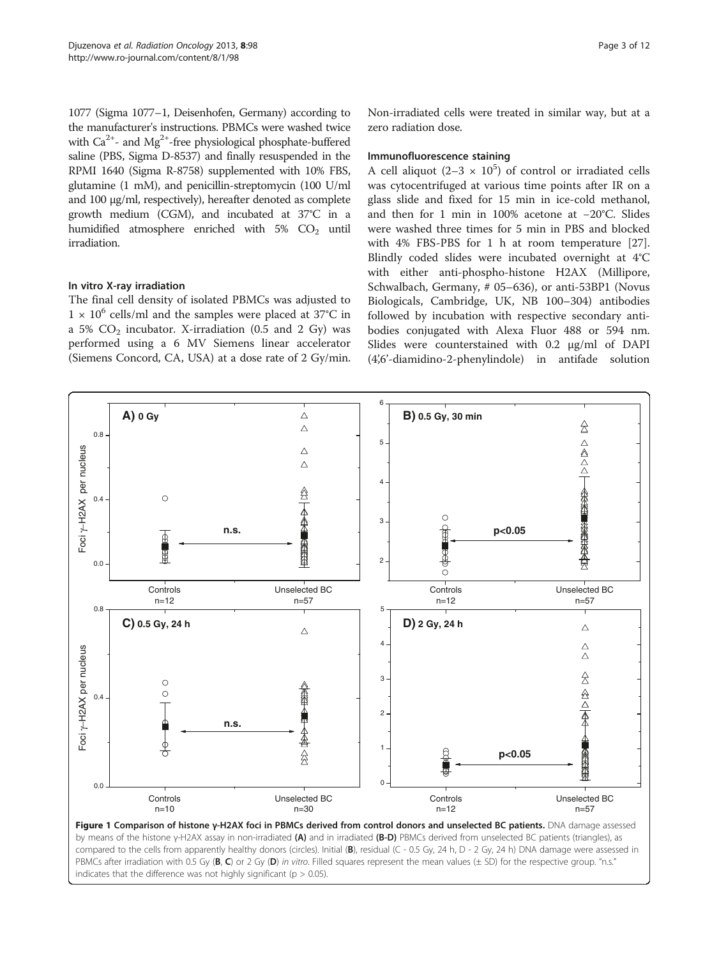<span id="page-2-0"></span>1077 (Sigma 1077–1, Deisenhofen, Germany) according to the manufacturer's instructions. PBMCs were washed twice with  $Ca^{2+}$ - and  $Mg^{2+}$ -free physiological phosphate-buffered saline (PBS, Sigma D-8537) and finally resuspended in the RPMI 1640 (Sigma R-8758) supplemented with 10% FBS, glutamine (1 mM), and penicillin-streptomycin (100 U/ml and 100 μg/ml, respectively), hereafter denoted as complete growth medium (CGM), and incubated at 37°C in a humidified atmosphere enriched with  $5\%$  CO<sub>2</sub> until irradiation.

# In vitro X-ray irradiation

The final cell density of isolated PBMCs was adjusted to  $1 \times 10^6$  cells/ml and the samples were placed at 37°C in a 5%  $CO<sub>2</sub>$  incubator. X-irradiation (0.5 and 2 Gy) was performed using a 6 MV Siemens linear accelerator (Siemens Concord, CA, USA) at a dose rate of 2 Gy/min.

# Immunofluorescence staining

A cell aliquot (2-3  $\times$  10<sup>5</sup>) of control or irradiated cells was cytocentrifuged at various time points after IR on a glass slide and fixed for 15 min in ice-cold methanol, and then for 1 min in 100% acetone at −20°C. Slides were washed three times for 5 min in PBS and blocked with 4% FBS-PBS for 1 h at room temperature [\[27](#page-11-0)]. Blindly coded slides were incubated overnight at 4°C with either anti-phospho-histone H2AX (Millipore, Schwalbach, Germany, # 05–636), or anti-53BP1 (Novus Biologicals, Cambridge, UK, NB 100–304) antibodies followed by incubation with respective secondary antibodies conjugated with Alexa Fluor 488 or 594 nm. Slides were counterstained with 0.2 μg/ml of DAPI (4',6'-diamidino-2-phenylindole) in antifade solution

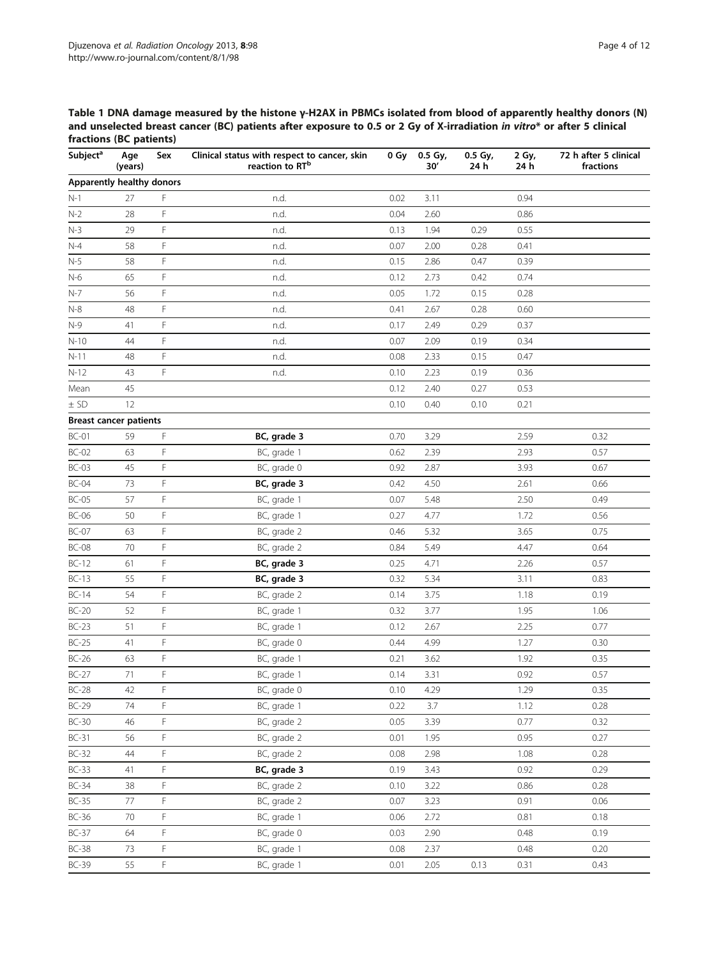<span id="page-3-0"></span>Table 1 DNA damage measured by the histone γ-H2AX in PBMCs isolated from blood of apparently healthy donors (N) and unselected breast cancer (BC) patients after exposure to 0.5 or 2 Gy of X-irradiation in vitro\* or after 5 clinical fractions (BC patients)

| Subject <sup>a</sup>          | Age<br>(years) | Sex | Clinical status with respect to cancer, skin<br>reaction to RT <sup>b</sup> | 0 Gy | 0.5 Gy,<br>30' | 0.5 Gy,<br>24 h | 2 Gy,<br>24 h | 72 h after 5 clinical<br>fractions |
|-------------------------------|----------------|-----|-----------------------------------------------------------------------------|------|----------------|-----------------|---------------|------------------------------------|
| Apparently healthy donors     |                |     |                                                                             |      |                |                 |               |                                    |
| $N-1$                         | 27             | F   | n.d.                                                                        | 0.02 | 3.11           |                 | 0.94          |                                    |
| $N-2$                         | 28             | F   | n.d.                                                                        | 0.04 | 2.60           |                 | 0.86          |                                    |
| $N-3$                         | 29             | F   | n.d.                                                                        | 0.13 | 1.94           | 0.29            | 0.55          |                                    |
| $N-4$                         | 58             | F   | n.d.                                                                        | 0.07 | 2.00           | 0.28            | 0.41          |                                    |
| $N-5$                         | 58             | F   | n.d.                                                                        | 0.15 | 2.86           | 0.47            | 0.39          |                                    |
| $N-6$                         | 65             | F   | n.d.                                                                        | 0.12 | 2.73           | 0.42            | 0.74          |                                    |
| $N-7$                         | 56             | F   | n.d.                                                                        | 0.05 | 1.72           | 0.15            | 0.28          |                                    |
| $N-8$                         | 48             | F   | n.d.                                                                        | 0.41 | 2.67           | 0.28            | 0.60          |                                    |
| $N-9$                         | 41             | F   | n.d.                                                                        | 0.17 | 2.49           | 0.29            | 0.37          |                                    |
| $N-10$                        | 44             | F   | n.d.                                                                        | 0.07 | 2.09           | 0.19            | 0.34          |                                    |
| $N-11$                        | 48             | F   | n.d.                                                                        | 0.08 | 2.33           | 0.15            | 0.47          |                                    |
| $N-12$                        | 43             | F   | n.d.                                                                        | 0.10 | 2.23           | 0.19            | 0.36          |                                    |
| Mean                          | 45             |     |                                                                             | 0.12 | 2.40           | 0.27            | 0.53          |                                    |
| $±$ SD                        | 12             |     |                                                                             | 0.10 | 0.40           | 0.10            | 0.21          |                                    |
| <b>Breast cancer patients</b> |                |     |                                                                             |      |                |                 |               |                                    |
| $BC-01$                       | 59             | F   | BC, grade 3                                                                 | 0.70 | 3.29           |                 | 2.59          | 0.32                               |
| $BC-02$                       | 63             | F   | BC, grade 1                                                                 | 0.62 | 2.39           |                 | 2.93          | 0.57                               |
| $BC-03$                       | 45             | F   | BC, grade 0                                                                 | 0.92 | 2.87           |                 | 3.93          | 0.67                               |
| $BC-04$                       | 73             | F   | BC, grade 3                                                                 | 0.42 | 4.50           |                 | 2.61          | 0.66                               |
| $BC-05$                       | 57             | F   | BC, grade 1                                                                 | 0.07 | 5.48           |                 | 2.50          | 0.49                               |
| $BC-06$                       | 50             | F   | BC, grade 1                                                                 | 0.27 | 4.77           |                 | 1.72          | 0.56                               |
| $BC-07$                       | 63             | F   | BC, grade 2                                                                 | 0.46 | 5.32           |                 | 3.65          | 0.75                               |
| <b>BC-08</b>                  | 70             | F   | BC, grade 2                                                                 | 0.84 | 5.49           |                 | 4.47          | 0.64                               |
| $BC-12$                       | 61             | F   | BC, grade 3                                                                 | 0.25 | 4.71           |                 | 2.26          | 0.57                               |
| $BC-13$                       | 55             | F   | BC, grade 3                                                                 | 0.32 | 5.34           |                 | 3.11          | 0.83                               |
| $BC-14$                       | 54             | F   | BC, grade 2                                                                 | 0.14 | 3.75           |                 | 1.18          | 0.19                               |
| $BC-20$                       | 52             | F   | BC, grade 1                                                                 | 0.32 | 3.77           |                 | 1.95          | 1.06                               |
| $BC-23$                       | 51             | F   | BC, grade 1                                                                 | 0.12 | 2.67           |                 | 2.25          | 0.77                               |
| $BC-25$                       | 41             | F   | BC, grade 0                                                                 | 0.44 | 4.99           |                 | 1.27          | 0.30                               |
| $BC-26$                       | 63             | F   | BC, grade 1                                                                 | 0.21 | 3.62           |                 | 1.92          | 0.35                               |
| $BC-27$                       | 71             | F   | BC, grade 1                                                                 | 0.14 | 3.31           |                 | 0.92          | 0.57                               |
| $BC-28$                       | 42             | F   | BC, grade 0                                                                 | 0.10 | 4.29           |                 | 1.29          | 0.35                               |
| <b>BC-29</b>                  | 74             | F   | BC, grade 1                                                                 | 0.22 | 3.7            |                 | 1.12          | 0.28                               |
| $BC-30$                       | 46             | F   | BC, grade 2                                                                 | 0.05 | 3.39           |                 | 0.77          | 0.32                               |
| $BC-31$                       | 56             | F   | BC, grade 2                                                                 | 0.01 | 1.95           |                 | 0.95          | 0.27                               |
| $BC-32$                       | $44$           | F   | BC, grade 2                                                                 | 0.08 | 2.98           |                 | 1.08          | 0.28                               |
| $BC-33$                       | 41             | F   | BC, grade 3                                                                 | 0.19 | 3.43           |                 | 0.92          | 0.29                               |
| $BC-34$                       | 38             | F   | BC, grade 2                                                                 | 0.10 | 3.22           |                 | 0.86          | 0.28                               |
| $BC-35$                       | 77             | F   | BC, grade 2                                                                 | 0.07 | 3.23           |                 | 0.91          | 0.06                               |
| $BC-36$                       | 70             | F   | BC, grade 1                                                                 | 0.06 | 2.72           |                 | 0.81          | 0.18                               |
| $BC-37$                       | 64             | F   | BC, grade 0                                                                 | 0.03 | 2.90           |                 | 0.48          | 0.19                               |
| $BC-38$                       | 73             | F   | BC, grade 1                                                                 | 0.08 | 2.37           |                 | 0.48          | 0.20                               |
| <b>BC-39</b>                  | 55             | F   | BC, grade 1                                                                 | 0.01 | 2.05           | 0.13            | 0.31          | 0.43                               |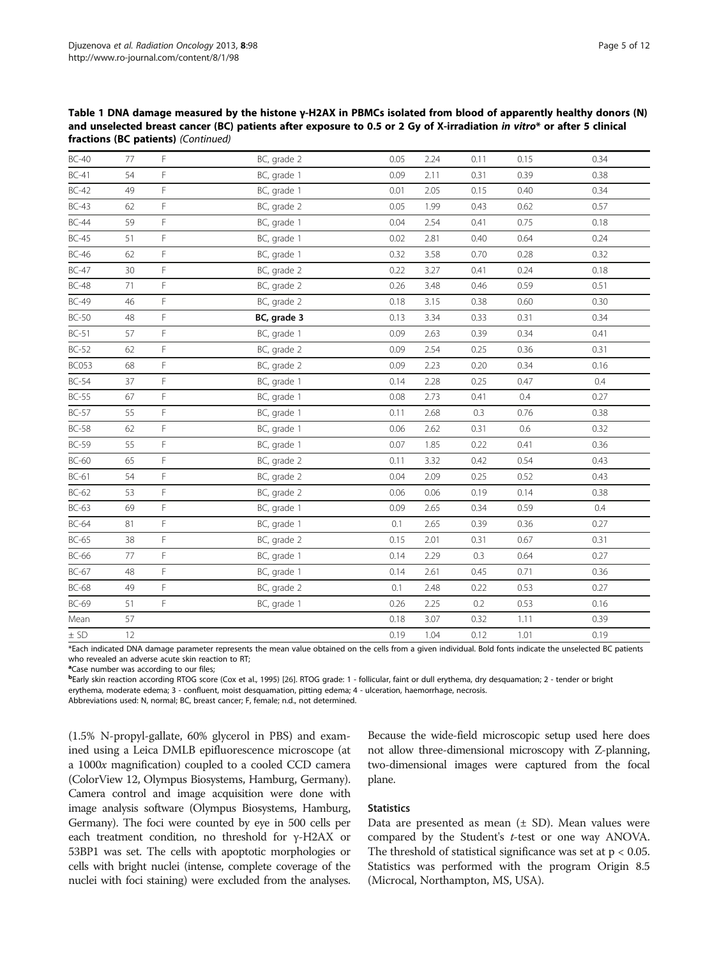Table 1 DNA damage measured by the histone γ-H2AX in PBMCs isolated from blood of apparently healthy donors (N) and unselected breast cancer (BC) patients after exposure to 0.5 or 2 Gy of X-irradiation in vitro\* or after 5 clinical fractions (BC patients) (Continued)

| $BC-40$      | 77 | F | BC, grade 2 | 0.05 | 2.24 | 0.11 | 0.15 | 0.34 |
|--------------|----|---|-------------|------|------|------|------|------|
| $BC-41$      | 54 | F | BC, grade 1 | 0.09 | 2.11 | 0.31 | 0.39 | 0.38 |
| $BC-42$      | 49 | F | BC, grade 1 | 0.01 | 2.05 | 0.15 | 0.40 | 0.34 |
| $BC-43$      | 62 | F | BC, grade 2 | 0.05 | 1.99 | 0.43 | 0.62 | 0.57 |
| <b>BC-44</b> | 59 | F | BC, grade 1 | 0.04 | 2.54 | 0.41 | 0.75 | 0.18 |
| $BC-45$      | 51 | F | BC, grade 1 | 0.02 | 2.81 | 0.40 | 0.64 | 0.24 |
| $BC-46$      | 62 | F | BC, grade 1 | 0.32 | 3.58 | 0.70 | 0.28 | 0.32 |
| $BC-47$      | 30 | F | BC, grade 2 | 0.22 | 3.27 | 0.41 | 0.24 | 0.18 |
| <b>BC-48</b> | 71 | F | BC, grade 2 | 0.26 | 3.48 | 0.46 | 0.59 | 0.51 |
| <b>BC-49</b> | 46 | F | BC, grade 2 | 0.18 | 3.15 | 0.38 | 0.60 | 0.30 |
| $BC-50$      | 48 | F | BC, grade 3 | 0.13 | 3.34 | 0.33 | 0.31 | 0.34 |
| $BC-51$      | 57 | F | BC, grade 1 | 0.09 | 2.63 | 0.39 | 0.34 | 0.41 |
| $BC-52$      | 62 | F | BC, grade 2 | 0.09 | 2.54 | 0.25 | 0.36 | 0.31 |
| <b>BC053</b> | 68 | F | BC, grade 2 | 0.09 | 2.23 | 0.20 | 0.34 | 0.16 |
| $BC-54$      | 37 | F | BC, grade 1 | 0.14 | 2.28 | 0.25 | 0.47 | 0.4  |
| $BC-55$      | 67 | F | BC, grade 1 | 0.08 | 2.73 | 0.41 | 0.4  | 0.27 |
| $BC-57$      | 55 | F | BC, grade 1 | 0.11 | 2.68 | 0.3  | 0.76 | 0.38 |
| <b>BC-58</b> | 62 | F | BC, grade 1 | 0.06 | 2.62 | 0.31 | 0.6  | 0.32 |
| <b>BC-59</b> | 55 | F | BC, grade 1 | 0.07 | 1.85 | 0.22 | 0.41 | 0.36 |
| <b>BC-60</b> | 65 | F | BC, grade 2 | 0.11 | 3.32 | 0.42 | 0.54 | 0.43 |
| $BC-61$      | 54 | F | BC, grade 2 | 0.04 | 2.09 | 0.25 | 0.52 | 0.43 |
| $BC-62$      | 53 | F | BC, grade 2 | 0.06 | 0.06 | 0.19 | 0.14 | 0.38 |
| $BC-63$      | 69 | F | BC, grade 1 | 0.09 | 2.65 | 0.34 | 0.59 | 0.4  |
| $BC-64$      | 81 | F | BC, grade 1 | 0.1  | 2.65 | 0.39 | 0.36 | 0.27 |
| $BC-65$      | 38 | F | BC, grade 2 | 0.15 | 2.01 | 0.31 | 0.67 | 0.31 |
| <b>BC-66</b> | 77 | F | BC, grade 1 | 0.14 | 2.29 | 0.3  | 0.64 | 0.27 |
| $BC-67$      | 48 | F | BC, grade 1 | 0.14 | 2.61 | 0.45 | 0.71 | 0.36 |
| <b>BC-68</b> | 49 | F | BC, grade 2 | 0.1  | 2.48 | 0.22 | 0.53 | 0.27 |
| BC-69        | 51 | F | BC, grade 1 | 0.26 | 2.25 | 0.2  | 0.53 | 0.16 |
| Mean         | 57 |   |             | 0.18 | 3.07 | 0.32 | 1.11 | 0.39 |
| $\pm$ SD     | 12 |   |             | 0.19 | 1.04 | 0.12 | 1.01 | 0.19 |

\*Each indicated DNA damage parameter represents the mean value obtained on the cells from a given individual. Bold fonts indicate the unselected BC patients who revealed an adverse acute skin reaction to RT;

<sup>a</sup>Case number was according to our files;

b Early skin reaction according RTOG score (Cox et al., 1995) [[26](#page-11-0)]. RTOG grade: 1 - follicular, faint or dull erythema, dry desquamation; 2 - tender or bright erythema, moderate edema; 3 - confluent, moist desquamation, pitting edema; 4 - ulceration, haemorrhage, necrosis.

Abbreviations used: N, normal; BC, breast cancer; F, female; n.d., not determined.

(1.5% N-propyl-gallate, 60% glycerol in PBS) and examined using a Leica DMLB epifluorescence microscope (at a 1000x magnification) coupled to a cooled CCD camera (ColorView 12, Olympus Biosystems, Hamburg, Germany). Camera control and image acquisition were done with image analysis software (Olympus Biosystems, Hamburg, Germany). The foci were counted by eye in 500 cells per each treatment condition, no threshold for γ-H2AX or 53BP1 was set. The cells with apoptotic morphologies or cells with bright nuclei (intense, complete coverage of the nuclei with foci staining) were excluded from the analyses.

Because the wide-field microscopic setup used here does not allow three-dimensional microscopy with Z-planning, two-dimensional images were captured from the focal plane.

### **Statistics**

Data are presented as mean  $(\pm S_D)$ . Mean values were compared by the Student's t-test or one way ANOVA. The threshold of statistical significance was set at  $p < 0.05$ . Statistics was performed with the program Origin 8.5 (Microcal, Northampton, MS, USA).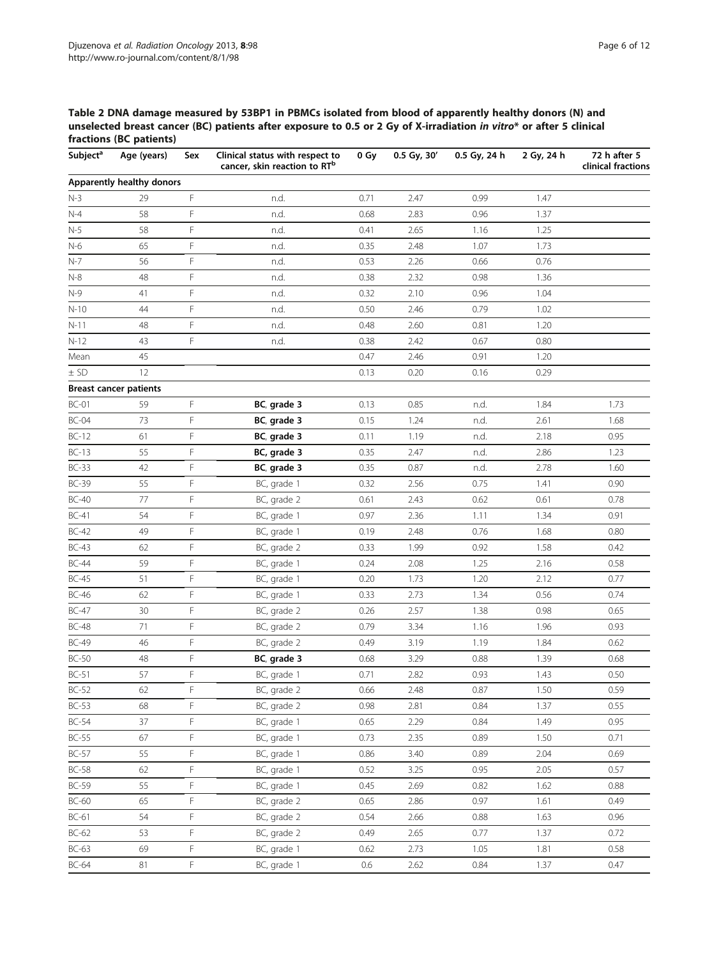<span id="page-5-0"></span>Table 2 DNA damage measured by 53BP1 in PBMCs isolated from blood of apparently healthy donors (N) and unselected breast cancer (BC) patients after exposure to 0.5 or 2 Gy of X-irradiation in vitro\* or after 5 clinical fractions (BC patients)

| Subject <sup>a</sup> | Age (years)                   | Sex | Clinical status with respect to<br>cancer, skin reaction to RT <sup>b</sup> | 0 Gy    | 0.5 Gy, 30' | 0.5 Gy, 24 h | 2 Gy, 24 h | 72 h after 5<br>clinical fractions |
|----------------------|-------------------------------|-----|-----------------------------------------------------------------------------|---------|-------------|--------------|------------|------------------------------------|
|                      | Apparently healthy donors     |     |                                                                             |         |             |              |            |                                    |
| $N-3$                | 29                            | F   | n.d.                                                                        | 0.71    | 2.47        | 0.99         | 1.47       |                                    |
| $N-4$                | 58                            | F   | n.d.                                                                        | 0.68    | 2.83        | 0.96         | 1.37       |                                    |
| $N-5$                | 58                            | F   | n.d.                                                                        | 0.41    | 2.65        | 1.16         | 1.25       |                                    |
| $N-6$                | 65                            | F   | n.d.                                                                        | 0.35    | 2.48        | 1.07         | 1.73       |                                    |
| $N-7$                | 56                            | F   | n.d.                                                                        | 0.53    | 2.26        | 0.66         | 0.76       |                                    |
| $N-8$                | 48                            | F   | n.d.                                                                        | 0.38    | 2.32        | 0.98         | 1.36       |                                    |
| $N-9$                | 41                            | F   | n.d.                                                                        | 0.32    | 2.10        | 0.96         | 1.04       |                                    |
| $N-10$               | 44                            | F   | n.d.                                                                        | 0.50    | 2.46        | 0.79         | 1.02       |                                    |
| $N-11$               | 48                            | F   | n.d.                                                                        | 0.48    | 2.60        | 0.81         | 1.20       |                                    |
| $N-12$               | 43                            | F   | n.d.                                                                        | 0.38    | 2.42        | 0.67         | 0.80       |                                    |
| Mean                 | 45                            |     |                                                                             | 0.47    | 2.46        | 0.91         | 1.20       |                                    |
| $±$ SD               | 12                            |     |                                                                             | 0.13    | 0.20        | 0.16         | 0.29       |                                    |
|                      | <b>Breast cancer patients</b> |     |                                                                             |         |             |              |            |                                    |
| $BC-01$              | 59                            | F   | BC, grade 3                                                                 | 0.13    | 0.85        | n.d.         | 1.84       | 1.73                               |
| $BC-04$              | 73                            | F   | BC, grade 3                                                                 | 0.15    | 1.24        | n.d.         | 2.61       | 1.68                               |
| $BC-12$              | 61                            | F   | BC, grade 3                                                                 | 0.11    | 1.19        | n.d.         | 2.18       | 0.95                               |
| $BC-13$              | 55                            | F   | BC, grade 3                                                                 | 0.35    | 2.47        | n.d.         | 2.86       | 1.23                               |
| $BC-33$              | 42                            | F   | BC, grade 3                                                                 | 0.35    | 0.87        | n.d.         | 2.78       | 1.60                               |
| <b>BC-39</b>         | 55                            | F   | BC, grade 1                                                                 | 0.32    | 2.56        | 0.75         | 1.41       | 0.90                               |
| <b>BC-40</b>         | 77                            | F   | BC, grade 2                                                                 | 0.61    | 2.43        | 0.62         | 0.61       | 0.78                               |
| $BC-41$              | 54                            | F   | BC, grade 1                                                                 | 0.97    | 2.36        | 1.11         | 1.34       | 0.91                               |
| $BC-42$              | 49                            | F   | BC, grade 1                                                                 | 0.19    | 2.48        | 0.76         | 1.68       | 0.80                               |
| $BC-43$              | 62                            | F   | BC, grade 2                                                                 | 0.33    | 1.99        | 0.92         | 1.58       | 0.42                               |
| <b>BC-44</b>         | 59                            | F   | BC, grade 1                                                                 | 0.24    | 2.08        | 1.25         | 2.16       | 0.58                               |
| $BC-45$              | 51                            | F   | BC, grade 1                                                                 | 0.20    | 1.73        | 1.20         | 2.12       | 0.77                               |
| <b>BC-46</b>         | 62                            | F   | BC, grade 1                                                                 | 0.33    | 2.73        | 1.34         | 0.56       | 0.74                               |
| $BC-47$              | 30                            | F   | BC, grade 2                                                                 | 0.26    | 2.57        | 1.38         | 0.98       | 0.65                               |
| <b>BC-48</b>         | 71                            | F   | BC, grade 2                                                                 | 0.79    | 3.34        | 1.16         | 1.96       | 0.93                               |
| <b>BC-49</b>         | 46                            | F   | BC, grade 2                                                                 | 0.49    | 3.19        | 1.19         | 1.84       | 0.62                               |
| $BC-50$              | 48                            | F   | BC, grade 3                                                                 | 0.68    | 3.29        | 0.88         | 1.39       | 0.68                               |
| $BC-51$              | 57                            | F   | BC, grade 1                                                                 | 0.71    | 2.82        | 0.93         | 1.43       | 0.50                               |
| $BC-52$              | 62                            | F   | BC, grade 2                                                                 | 0.66    | 2.48        | 0.87         | 1.50       | 0.59                               |
| $BC-53$              | 68                            | F   | BC, grade 2                                                                 | 0.98    | 2.81        | 0.84         | 1.37       | 0.55                               |
| $BC-54$              | 37                            | F   | BC, grade 1                                                                 | 0.65    | 2.29        | 0.84         | 1.49       | 0.95                               |
| $BC-55$              | 67                            | F   | BC, grade 1                                                                 | 0.73    | 2.35        | 0.89         | 1.50       | 0.71                               |
| $BC-57$              | 55                            | F   | BC, grade 1                                                                 | 0.86    | 3.40        | 0.89         | 2.04       | 0.69                               |
| $BC-58$              | 62                            | F   | BC, grade 1                                                                 | 0.52    | 3.25        | 0.95         | 2.05       | 0.57                               |
| <b>BC-59</b>         | 55                            | F   | BC, grade 1                                                                 | 0.45    | 2.69        | 0.82         | 1.62       | 0.88                               |
| $BC-60$              | 65                            | F   | BC, grade 2                                                                 | 0.65    | 2.86        | 0.97         | 1.61       | 0.49                               |
| $BC-61$              | 54                            | F   | BC, grade 2                                                                 | 0.54    | 2.66        | 0.88         | 1.63       | 0.96                               |
| $BC-62$              | 53                            | F   | BC, grade 2                                                                 | 0.49    | 2.65        | 0.77         | 1.37       | 0.72                               |
| $BC-63$              | 69                            | F   | BC, grade 1                                                                 | 0.62    | 2.73        | 1.05         | 1.81       | 0.58                               |
| <b>BC-64</b>         | 81                            | F   | BC, grade 1                                                                 | $0.6\,$ | 2.62        | 0.84         | 1.37       | 0.47                               |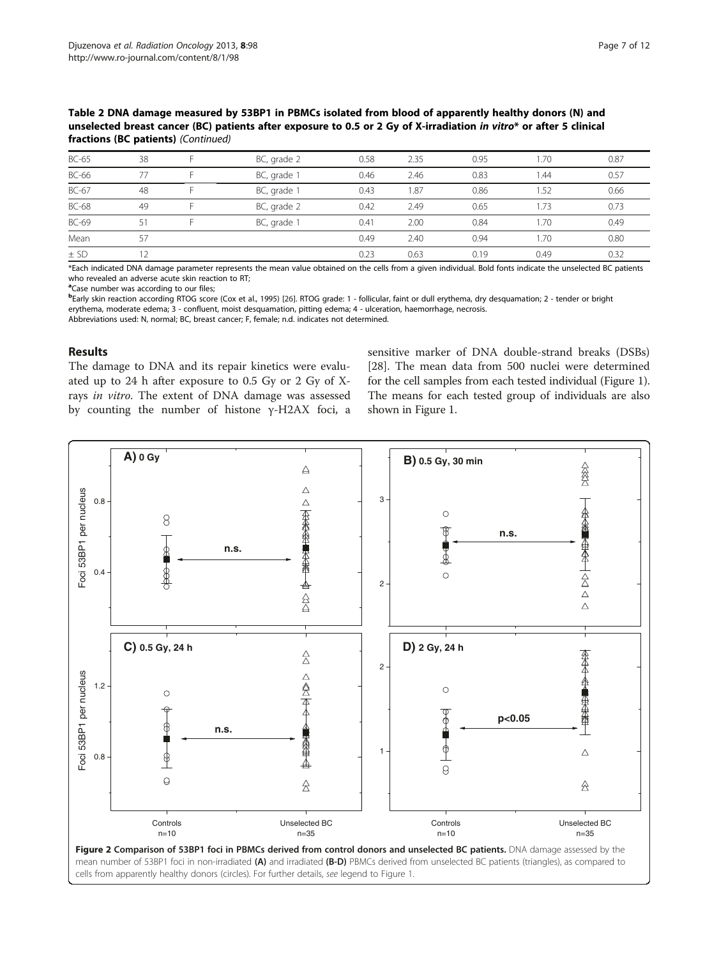<span id="page-6-0"></span>Table 2 DNA damage measured by 53BP1 in PBMCs isolated from blood of apparently healthy donors (N) and unselected breast cancer (BC) patients after exposure to 0.5 or 2 Gy of X-irradiation in vitro\* or after 5 clinical fractions (BC patients) (Continued)

| BC-65        | 38  | BC, grade 2 | 0.58 | 2.35 | 0.95 | 1.70 | 0.87 |
|--------------|-----|-------------|------|------|------|------|------|
|              |     |             |      |      |      |      |      |
| <b>BC-66</b> | 77  | BC, grade 1 | 0.46 | 2.46 | 0.83 | 1.44 | 0.57 |
| BC-67        | 48  | BC, grade 1 | 0.43 | .87  | 0.86 | 1.52 | 0.66 |
| <b>BC-68</b> | 49  | BC, grade 2 | 0.42 | 2.49 | 0.65 | 1.73 | 0.73 |
| BC-69        | 51  | BC, grade 1 | 0.41 | 2.00 | 0.84 | 1.70 | 0.49 |
| Mean         | 57  |             | 0.49 | 2.40 | 0.94 | 1.70 | 0.80 |
| $\pm$ SD     | ר י |             | 0.23 | 0.63 | 0.19 | 0.49 | 0.32 |

\*Each indicated DNA damage parameter represents the mean value obtained on the cells from a given individual. Bold fonts indicate the unselected BC patients who revealed an adverse acute skin reaction to RT;

<sup>a</sup>Case number was according to our files;

**b**Early skin reaction according RTOG score (Cox et al., 1995) [[26](#page-11-0)]. RTOG grade: 1 - follicular, faint or dull erythema, dry desquamation; 2 - tender or bright erythema, moderate edema; 3 - confluent, moist desquamation, pitting edema; 4 - ulceration, haemorrhage, necrosis.

Abbreviations used: N, normal; BC, breast cancer; F, female; n.d. indicates not determined.

# Results

The damage to DNA and its repair kinetics were evaluated up to 24 h after exposure to 0.5 Gy or 2 Gy of Xrays in vitro. The extent of DNA damage was assessed by counting the number of histone γ-H2AX foci, a

sensitive marker of DNA double-strand breaks (DSBs) [[28\]](#page-11-0). The mean data from 500 nuclei were determined for the cell samples from each tested individual (Figure [1](#page-2-0)). The means for each tested group of individuals are also shown in Figure [1.](#page-2-0)



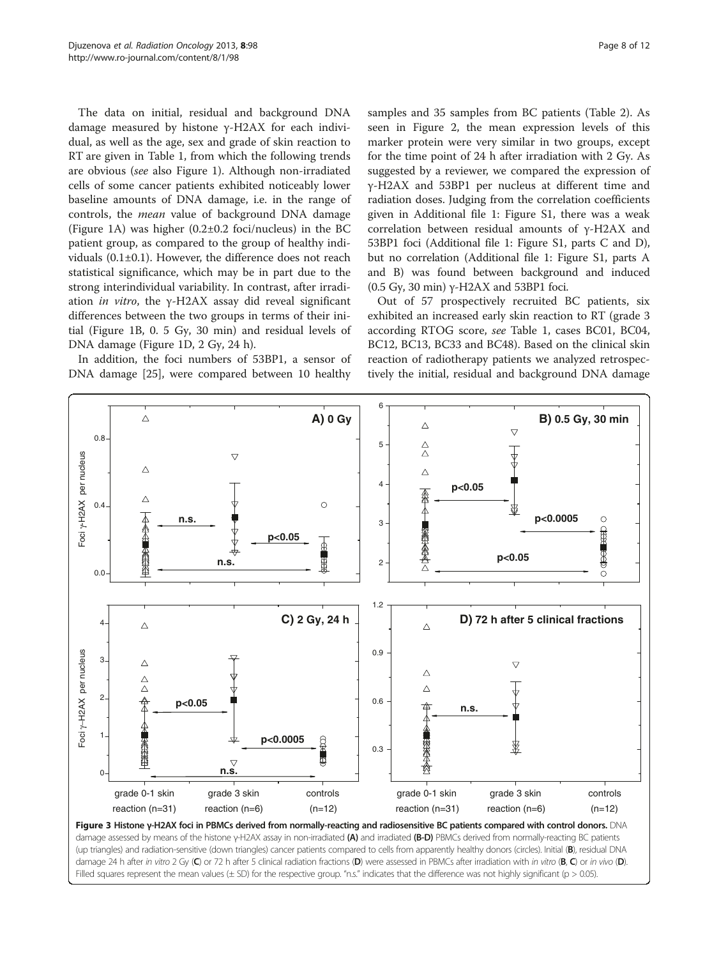<span id="page-7-0"></span>The data on initial, residual and background DNA damage measured by histone γ-H2AX for each individual, as well as the age, sex and grade of skin reaction to RT are given in Table [1,](#page-3-0) from which the following trends are obvious (see also Figure [1\)](#page-2-0). Although non-irradiated cells of some cancer patients exhibited noticeably lower baseline amounts of DNA damage, i.e. in the range of controls, the mean value of background DNA damage (Figure [1](#page-2-0)A) was higher (0.2±0.2 foci/nucleus) in the BC patient group, as compared to the group of healthy individuals (0.1±0.1). However, the difference does not reach statistical significance, which may be in part due to the strong interindividual variability. In contrast, after irradiation in vitro, the  $\gamma$ -H2AX assay did reveal significant differences between the two groups in terms of their initial (Figure [1B](#page-2-0), 0. 5 Gy, 30 min) and residual levels of DNA damage (Figure [1](#page-2-0)D, 2 Gy, 24 h).

In addition, the foci numbers of 53BP1, a sensor of DNA damage [\[25\]](#page-11-0), were compared between 10 healthy samples and 35 samples from BC patients (Table [2\)](#page-5-0). As seen in Figure [2,](#page-6-0) the mean expression levels of this marker protein were very similar in two groups, except for the time point of 24 h after irradiation with 2 Gy. As suggested by a reviewer, we compared the expression of γ-H2AX and 53BP1 per nucleus at different time and radiation doses. Judging from the correlation coefficients given in Additional file [1:](#page-10-0) Figure S1, there was a weak correlation between residual amounts of γ-H2AX and 53BP1 foci (Additional file [1:](#page-10-0) Figure S1, parts C and D), but no correlation (Additional file [1](#page-10-0): Figure S1, parts A and B) was found between background and induced (0.5 Gy, 30 min) γ-H2AX and 53BP1 foci.

Out of 57 prospectively recruited BC patients, six exhibited an increased early skin reaction to RT (grade 3 according RTOG score, see Table [1](#page-3-0), cases BC01, BC04, BC12, BC13, BC33 and BC48). Based on the clinical skin reaction of radiotherapy patients we analyzed retrospectively the initial, residual and background DNA damage

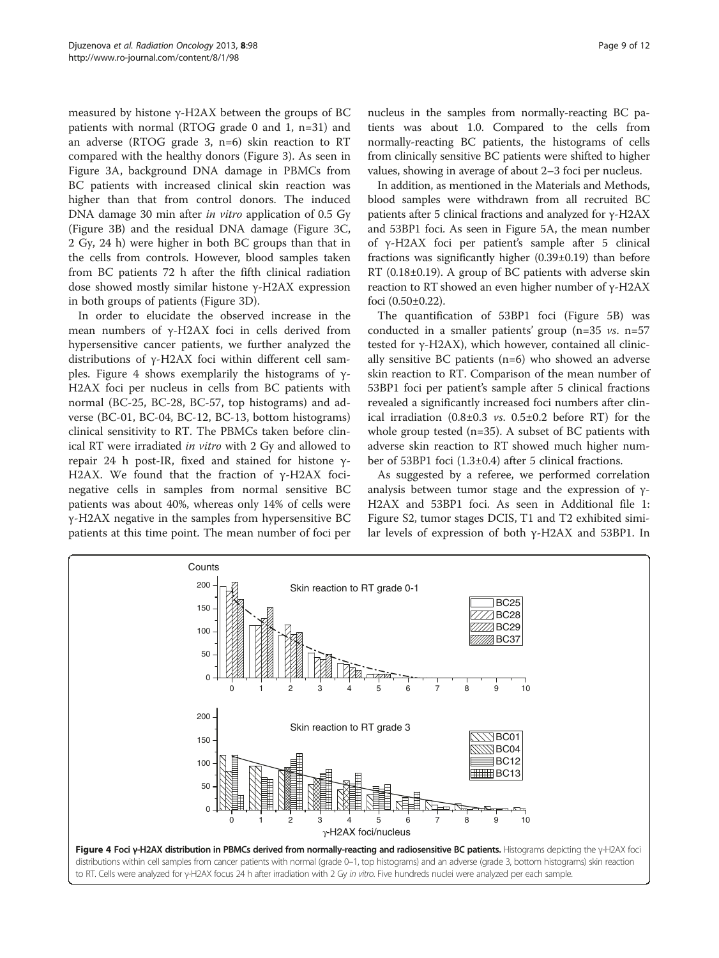measured by histone γ-H2AX between the groups of BC patients with normal (RTOG grade 0 and 1, n=31) and an adverse (RTOG grade 3, n=6) skin reaction to RT compared with the healthy donors (Figure [3\)](#page-7-0). As seen in Figure [3](#page-7-0)A, background DNA damage in PBMCs from BC patients with increased clinical skin reaction was higher than that from control donors. The induced DNA damage 30 min after *in vitro* application of 0.5 Gy (Figure [3B](#page-7-0)) and the residual DNA damage (Figure [3C](#page-7-0), 2 Gy, 24 h) were higher in both BC groups than that in the cells from controls. However, blood samples taken from BC patients 72 h after the fifth clinical radiation dose showed mostly similar histone γ-H2AX expression in both groups of patients (Figure [3D](#page-7-0)).

In order to elucidate the observed increase in the mean numbers of γ-H2AX foci in cells derived from hypersensitive cancer patients, we further analyzed the distributions of γ-H2AX foci within different cell samples. Figure 4 shows exemplarily the histograms of  $γ$ -H2AX foci per nucleus in cells from BC patients with normal (BC-25, BC-28, BC-57, top histograms) and adverse (BC-01, BC-04, BC-12, BC-13, bottom histograms) clinical sensitivity to RT. The PBMCs taken before clinical RT were irradiated in vitro with 2 Gy and allowed to repair 24 h post-IR, fixed and stained for histone γ-H2AX. We found that the fraction of γ-H2AX focinegative cells in samples from normal sensitive BC patients was about 40%, whereas only 14% of cells were γ-H2AX negative in the samples from hypersensitive BC patients at this time point. The mean number of foci per nucleus in the samples from normally-reacting BC patients was about 1.0. Compared to the cells from normally-reacting BC patients, the histograms of cells from clinically sensitive BC patients were shifted to higher values, showing in average of about 2–3 foci per nucleus.

In addition, as mentioned in the Materials and Methods, blood samples were withdrawn from all recruited BC patients after 5 clinical fractions and analyzed for γ-H2AX and 53BP1 foci. As seen in Figure [5](#page-9-0)A, the mean number of γ-H2AX foci per patient's sample after 5 clinical fractions was significantly higher (0.39±0.19) than before RT (0.18±0.19). A group of BC patients with adverse skin reaction to RT showed an even higher number of γ-H2AX foci (0.50±0.22).

The quantification of 53BP1 foci (Figure [5B](#page-9-0)) was conducted in a smaller patients' group ( $n=35$  vs.  $n=57$ tested for γ-H2AX), which however, contained all clinically sensitive BC patients (n=6) who showed an adverse skin reaction to RT. Comparison of the mean number of 53BP1 foci per patient's sample after 5 clinical fractions revealed a significantly increased foci numbers after clinical irradiation  $(0.8\pm0.3 \text{ vs. } 0.5\pm0.2 \text{ before RT})$  for the whole group tested (n=35). A subset of BC patients with adverse skin reaction to RT showed much higher number of 53BP1 foci (1.3±0.4) after 5 clinical fractions.

As suggested by a referee, we performed correlation analysis between tumor stage and the expression of γ-H2AX and 53BP1 foci. As seen in Additional file [1](#page-10-0): Figure S2, tumor stages DCIS, T1 and T2 exhibited similar levels of expression of both γ-H2AX and 53BP1. In

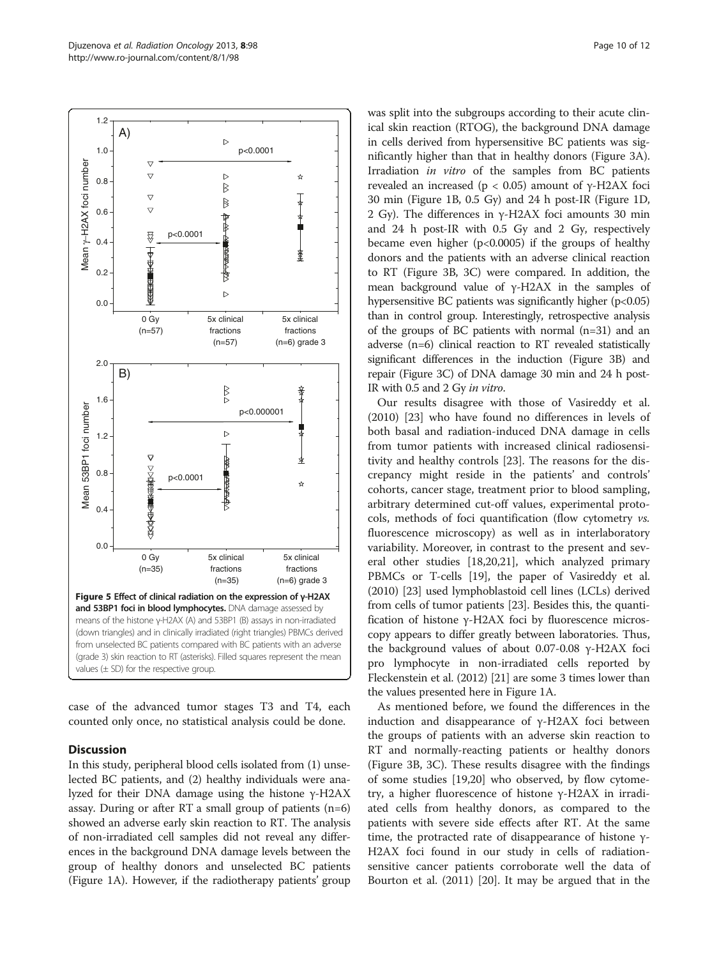<span id="page-9-0"></span>

case of the advanced tumor stages T3 and T4, each counted only once, no statistical analysis could be done.

# **Discussion**

In this study, peripheral blood cells isolated from (1) unselected BC patients, and (2) healthy individuals were analyzed for their DNA damage using the histone γ-H2AX assay. During or after RT a small group of patients (n=6) showed an adverse early skin reaction to RT. The analysis of non-irradiated cell samples did not reveal any differences in the background DNA damage levels between the group of healthy donors and unselected BC patients (Figure [1A](#page-2-0)). However, if the radiotherapy patients' group was split into the subgroups according to their acute clinical skin reaction (RTOG), the background DNA damage in cells derived from hypersensitive BC patients was significantly higher than that in healthy donors (Figure [3A](#page-7-0)). Irradiation in vitro of the samples from BC patients revealed an increased (p < 0.05) amount of γ-H2AX foci 30 min (Figure [1](#page-2-0)B, 0.5 Gy) and 24 h post-IR (Figure [1D](#page-2-0), 2 Gy). The differences in γ-H2AX foci amounts 30 min and 24 h post-IR with 0.5 Gy and 2 Gy, respectively became even higher  $(p<0.0005)$  if the groups of healthy donors and the patients with an adverse clinical reaction to RT (Figure [3B](#page-7-0), [3C](#page-7-0)) were compared. In addition, the mean background value of γ-H2AX in the samples of hypersensitive BC patients was significantly higher  $(p<0.05)$ than in control group. Interestingly, retrospective analysis of the groups of BC patients with normal (n=31) and an adverse (n=6) clinical reaction to RT revealed statistically significant differences in the induction (Figure [3B](#page-7-0)) and repair (Figure [3](#page-7-0)C) of DNA damage 30 min and 24 h post-IR with 0.5 and 2 Gy in vitro.

Our results disagree with those of Vasireddy et al. (2010) [\[23](#page-11-0)] who have found no differences in levels of both basal and radiation-induced DNA damage in cells from tumor patients with increased clinical radiosensitivity and healthy controls [[23\]](#page-11-0). The reasons for the discrepancy might reside in the patients' and controls' cohorts, cancer stage, treatment prior to blood sampling, arbitrary determined cut-off values, experimental protocols, methods of foci quantification (flow cytometry vs. fluorescence microscopy) as well as in interlaboratory variability. Moreover, in contrast to the present and several other studies [\[18,20,21](#page-11-0)], which analyzed primary PBMCs or T-cells [\[19\]](#page-11-0), the paper of Vasireddy et al. (2010) [[23](#page-11-0)] used lymphoblastoid cell lines (LCLs) derived from cells of tumor patients [[23\]](#page-11-0). Besides this, the quantification of histone γ-H2AX foci by fluorescence microscopy appears to differ greatly between laboratories. Thus, the background values of about 0.07-0.08 γ-H2AX foci pro lymphocyte in non-irradiated cells reported by Fleckenstein et al. (2012) [[21](#page-11-0)] are some 3 times lower than the values presented here in Figure [1A](#page-2-0).

As mentioned before, we found the differences in the induction and disappearance of  $γ$ -H2AX foci between the groups of patients with an adverse skin reaction to RT and normally-reacting patients or healthy donors (Figure [3B](#page-7-0), [3](#page-7-0)C). These results disagree with the findings of some studies [[19](#page-11-0),[20](#page-11-0)] who observed, by flow cytometry, a higher fluorescence of histone γ-H2AX in irradiated cells from healthy donors, as compared to the patients with severe side effects after RT. At the same time, the protracted rate of disappearance of histone γ-H2AX foci found in our study in cells of radiationsensitive cancer patients corroborate well the data of Bourton et al. (2011) [\[20](#page-11-0)]. It may be argued that in the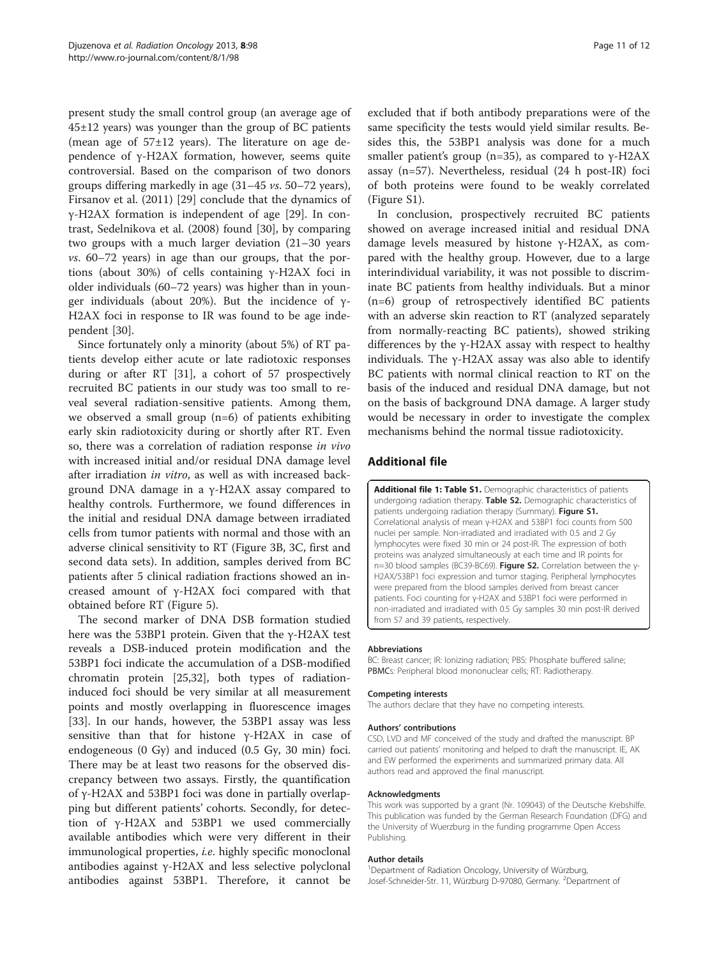<span id="page-10-0"></span>present study the small control group (an average age of 45±12 years) was younger than the group of BC patients (mean age of  $57\pm12$  years). The literature on age dependence of γ-H2AX formation, however, seems quite controversial. Based on the comparison of two donors groups differing markedly in age (31–45 vs. 50–72 years), Firsanov et al. (2011) [[29\]](#page-11-0) conclude that the dynamics of γ-H2AX formation is independent of age [[29](#page-11-0)]. In contrast, Sedelnikova et al. (2008) found [[30](#page-11-0)], by comparing two groups with a much larger deviation (21–30 years vs. 60–72 years) in age than our groups, that the portions (about 30%) of cells containing γ-H2AX foci in older individuals (60–72 years) was higher than in younger individuals (about 20%). But the incidence of  $γ$ -H2AX foci in response to IR was found to be age independent [\[30\]](#page-11-0).

Since fortunately only a minority (about 5%) of RT patients develop either acute or late radiotoxic responses during or after RT [\[31\]](#page-11-0), a cohort of 57 prospectively recruited BC patients in our study was too small to reveal several radiation-sensitive patients. Among them, we observed a small group (n=6) of patients exhibiting early skin radiotoxicity during or shortly after RT. Even so, there was a correlation of radiation response in vivo with increased initial and/or residual DNA damage level after irradiation in vitro, as well as with increased background DNA damage in a γ-H2AX assay compared to healthy controls. Furthermore, we found differences in the initial and residual DNA damage between irradiated cells from tumor patients with normal and those with an adverse clinical sensitivity to RT (Figure [3B](#page-7-0), [3C](#page-7-0), first and second data sets). In addition, samples derived from BC patients after 5 clinical radiation fractions showed an increased amount of γ-H2AX foci compared with that obtained before RT (Figure [5\)](#page-9-0).

The second marker of DNA DSB formation studied here was the 53BP1 protein. Given that the γ-H2AX test reveals a DSB-induced protein modification and the 53BP1 foci indicate the accumulation of a DSB-modified chromatin protein [\[25,32](#page-11-0)], both types of radiationinduced foci should be very similar at all measurement points and mostly overlapping in fluorescence images [[33\]](#page-11-0). In our hands, however, the 53BP1 assay was less sensitive than that for histone γ-H2AX in case of endogeneous (0 Gy) and induced (0.5 Gy, 30 min) foci. There may be at least two reasons for the observed discrepancy between two assays. Firstly, the quantification of γ-H2AX and 53BP1 foci was done in partially overlapping but different patients' cohorts. Secondly, for detection of γ-H2AX and 53BP1 we used commercially available antibodies which were very different in their immunological properties, i.e. highly specific monoclonal antibodies against γ-H2AX and less selective polyclonal antibodies against 53BP1. Therefore, it cannot be

excluded that if both antibody preparations were of the same specificity the tests would yield similar results. Besides this, the 53BP1 analysis was done for a much smaller patient's group (n=35), as compared to  $\gamma$ -H2AX assay (n=57). Nevertheless, residual (24 h post-IR) foci of both proteins were found to be weakly correlated (Figure S1).

In conclusion, prospectively recruited BC patients showed on average increased initial and residual DNA damage levels measured by histone γ-H2AX, as compared with the healthy group. However, due to a large interindividual variability, it was not possible to discriminate BC patients from healthy individuals. But a minor (n=6) group of retrospectively identified BC patients with an adverse skin reaction to RT (analyzed separately from normally-reacting BC patients), showed striking differences by the γ-H2AX assay with respect to healthy individuals. The  $\gamma$ -H2AX assay was also able to identify BC patients with normal clinical reaction to RT on the basis of the induced and residual DNA damage, but not on the basis of background DNA damage. A larger study would be necessary in order to investigate the complex mechanisms behind the normal tissue radiotoxicity.

# Additional file

[Additional file 1: Table S1.](http://www.biomedcentral.com/content/supplementary/1748-717X-8-98-S1.doc) Demographic characteristics of patients undergoing radiation therapy. Table S2. Demographic characteristics of patients undergoing radiation therapy (Summary). Figure S1. Correlational analysis of mean γ-H2AX and 53BP1 foci counts from 500 nuclei per sample. Non-irradiated and irradiated with 0.5 and 2 Gy lymphocytes were fixed 30 min or 24 post-IR. The expression of both proteins was analyzed simultaneously at each time and IR points for n=30 blood samples (BC39-BC69). Figure S2. Correlation between the γ-H2AX/53BP1 foci expression and tumor staging. Peripheral lymphocytes were prepared from the blood samples derived from breast cancer patients. Foci counting for γ-H2AX and 53BP1 foci were performed in non-irradiated and irradiated with 0.5 Gy samples 30 min post-IR derived from 57 and 39 patients, respectively.

#### Abbreviations

BC: Breast cancer; IR: Ionizing radiation; PBS: Phosphate buffered saline; PBMCs: Peripheral blood mononuclear cells; RT: Radiotherapy.

#### Competing interests

The authors declare that they have no competing interests.

#### Authors' contributions

CSD, LVD and MF conceived of the study and drafted the manuscript. BP carried out patients' monitoring and helped to draft the manuscript. IE, AK and EW performed the experiments and summarized primary data. All authors read and approved the final manuscript.

#### Acknowledgments

This work was supported by a grant (Nr. 109043) of the Deutsche Krebshilfe. This publication was funded by the German Research Foundation (DFG) and the University of Wuerzburg in the funding programme Open Access Publishing.

#### Author details

<sup>1</sup>Department of Radiation Oncology, University of Würzburg, Josef-Schneider-Str. 11, Würzburg D-97080, Germany. <sup>2</sup>Department of